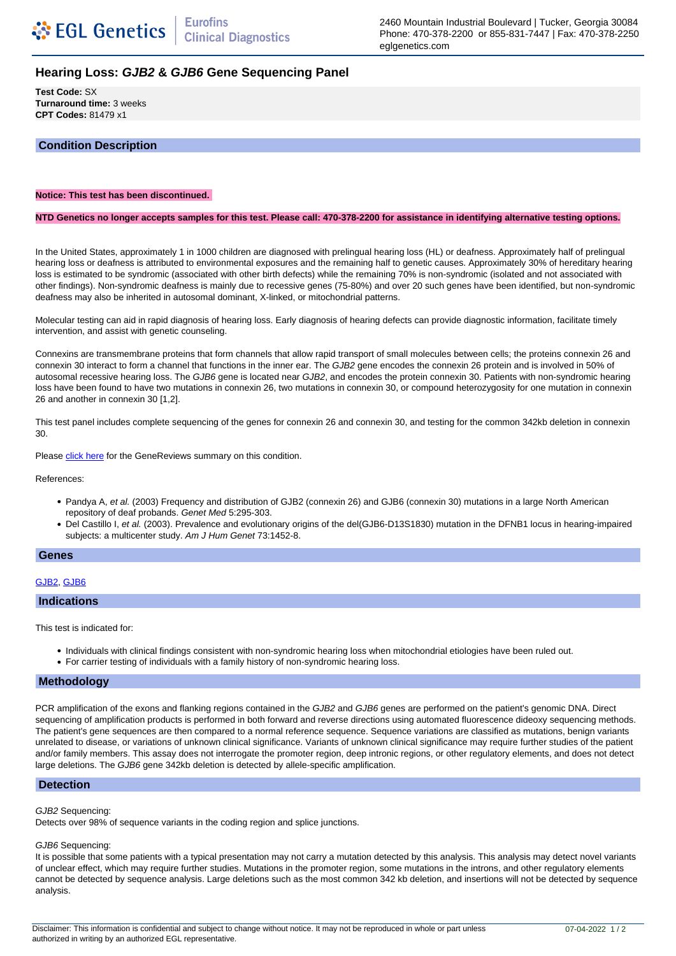2460 Mountain Industrial Boulevard | Tucker, Georgia 30084 Phone: 470-378-2200 or 855-831-7447 | Fax: 470-378-2250 eglgenetics.com

# **Hearing Loss: GJB2 & GJB6 Gene Sequencing Panel**

**Test Code:** SX **Turnaround time:** 3 weeks **CPT Codes:** 81479 x1

# **Condition Description**

### **Notice: This test has been discontinued.**

#### **NTD Genetics no longer accepts samples for this test. Please call: 470-378-2200 for assistance in identifying alternative testing options.**

In the United States, approximately 1 in 1000 children are diagnosed with prelingual hearing loss (HL) or deafness. Approximately half of prelingual hearing loss or deafness is attributed to environmental exposures and the remaining half to genetic causes. Approximately 30% of hereditary hearing loss is estimated to be syndromic (associated with other birth defects) while the remaining 70% is non-syndromic (isolated and not associated with other findings). Non-syndromic deafness is mainly due to recessive genes (75-80%) and over 20 such genes have been identified, but non-syndromic deafness may also be inherited in autosomal dominant, X-linked, or mitochondrial patterns.

Molecular testing can aid in rapid diagnosis of hearing loss. Early diagnosis of hearing defects can provide diagnostic information, facilitate timely intervention, and assist with genetic counseling.

Connexins are transmembrane proteins that form channels that allow rapid transport of small molecules between cells; the proteins connexin 26 and connexin 30 interact to form a channel that functions in the inner ear. The GJB2 gene encodes the connexin 26 protein and is involved in 50% of autosomal recessive hearing loss. The GJB6 gene is located near GJB2, and encodes the protein connexin 30. Patients with non-syndromic hearing loss have been found to have two mutations in connexin 26, two mutations in connexin 30, or compound heterozygosity for one mutation in connexin 26 and another in connexin 30 [1,2].

This test panel includes complete sequencing of the genes for connexin 26 and connexin 30, and testing for the common 342kb deletion in connexin 30.

Please [click here](http://www.genetests.com/servlet/accessid=8888892&key=YXS6UpobkRsBc&gry=INSERTGRY&fcn=y&fw=FBRn&filename=/glossary/profiles/dfnb1/index.html) for the GeneReviews summary on this condition.

References:

- Pandya A, et al. (2003) Frequency and distribution of GJB2 (connexin 26) and GJB6 (connexin 30) mutations in a large North American repository of deaf probands. Genet Med 5:295-303.
- Del Castillo I, et al. (2003). Prevalence and evolutionary origins of the del(GJB6-D13S1830) mutation in the DFNB1 locus in hearing-impaired subjects: a multicenter study. Am J Hum Genet 73:1452-8.

#### **Genes**

## GJB2, GJB6

#### **Indications**

This test is indicated for:

- Individuals with clinical findings consistent with non-syndromic hearing loss when mitochondrial etiologies have been ruled out.
- For carrier testing of individuals with a family history of non-syndromic hearing loss.

## **Methodology**

PCR amplification of the exons and flanking regions contained in the GJB2 and GJB6 genes are performed on the patient's genomic DNA. Direct sequencing of amplification products is performed in both forward and reverse directions using automated fluorescence dideoxy sequencing methods. The patient's gene sequences are then compared to a normal reference sequence. Sequence variations are classified as mutations, benign variants unrelated to disease, or variations of unknown clinical significance. Variants of unknown clinical significance may require further studies of the patient and/or family members. This assay does not interrogate the promoter region, deep intronic regions, or other regulatory elements, and does not detect large deletions. The GJB6 gene 342kb deletion is detected by allele-specific amplification.

## **Detection**

#### GJB2 Sequencing:

Detects over 98% of sequence variants in the coding region and splice junctions.

#### GJB6 Sequencing:

It is possible that some patients with a typical presentation may not carry a mutation detected by this analysis. This analysis may detect novel variants of unclear effect, which may require further studies. Mutations in the promoter region, some mutations in the introns, and other regulatory elements cannot be detected by sequence analysis. Large deletions such as the most common 342 kb deletion, and insertions will not be detected by sequence analysis.